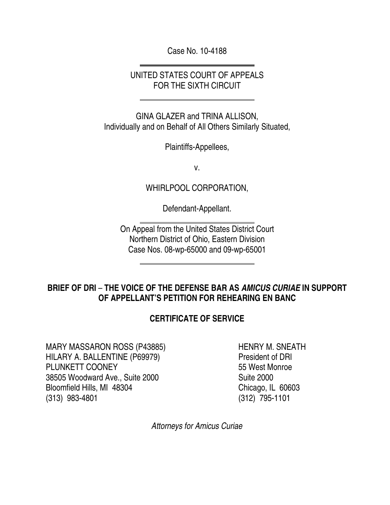Case No. 10-4188

l

 $\overline{a}$ 

 $\overline{a}$ 

l

## UNITED STATES COURT OF APPEALS FOR THE SIXTH CIRCUIT

GINA GLAZER and TRINA ALLISON, Individually and on Behalf of All Others Similarly Situated,

Plaintiffs-Appellees,

v.

WHIRLPOOL CORPORATION,

Defendant-Appellant.

On Appeal from the United States District Court Northern District of Ohio, Eastern Division Case Nos. 08-wp-65000 and 09-wp-65001

## **BRIEF OF DRI** – **THE VOICE OF THE DEFENSE BAR AS AMICUS CURIAE IN SUPPORT OF APPELLANT'S PETITION FOR REHEARING EN BANC**

## **CERTIFICATE OF SERVICE**

MARY MASSARON ROSS (P43885) HILARY A. BALLENTINE (P69979) PLUNKETT COONEY 38505 Woodward Ave., Suite 2000 Bloomfield Hills, MI 48304 (313) 983-4801

HENRY M. SNEATH President of DRI 55 West Monroe Suite 2000 Chicago, IL 60603 (312) 795-1101

Attorneys for Amicus Curiae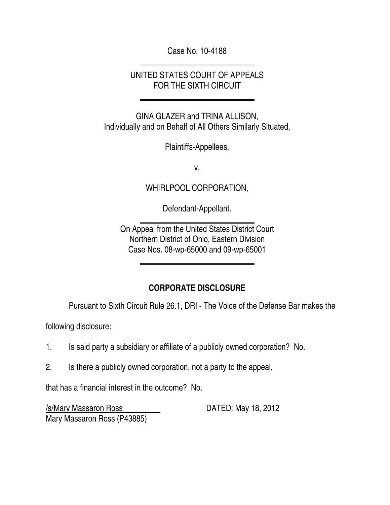Case No. 10-4188

l

 $\overline{a}$ 

l

## UNITED STATES COURT OF APPEALS FOR THE SIXTH CIRCUIT

GINA GLAZER and TRINA ALLISON, Individually and on Behalf of All Others Similarly Situated,

Plaintiffs-Appellees,

v.

WHIRLPOOL CORPORATION,

Defendant-Appellant.

 $\overline{a}$ On Appeal from the United States District Court Northern District of Ohio, Eastern Division Case Nos. 08-wp-65000 and 09-wp-65001

## **CORPORATE DISCLOSURE**

Pursuant to Sixth Circuit Rule 26.1, DRI - The Voice of the Defense Bar makes the

following disclosure:

- 1. Is said party a subsidiary or affiliate of a publicly owned corporation? No.
- 2. Is there a publicly owned corporation, not a party to the appeal,

that has a financial interest in the outcome? No.

/s/Mary Massaron Ross DATED: May 18, 2012 Mary Massaron Ross (P43885)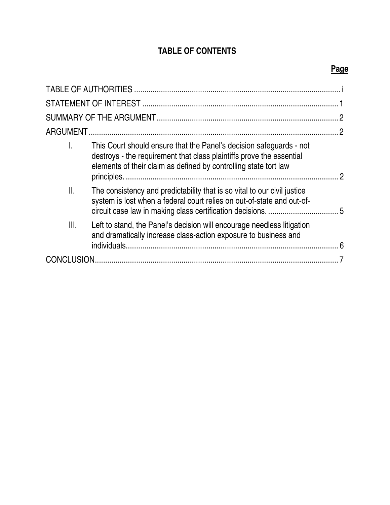## **TABLE OF CONTENTS**

# **Page**

|      |                                                                                                                                                                                                                 | 2 |  |
|------|-----------------------------------------------------------------------------------------------------------------------------------------------------------------------------------------------------------------|---|--|
|      |                                                                                                                                                                                                                 | 2 |  |
| I.   | This Court should ensure that the Panel's decision safeguards - not<br>destroys - the requirement that class plaintiffs prove the essential<br>elements of their claim as defined by controlling state tort law | 0 |  |
| 11.  | The consistency and predictability that is so vital to our civil justice<br>system is lost when a federal court relies on out-of-state and out-of-                                                              |   |  |
| III. | Left to stand, the Panel's decision will encourage needless litigation<br>and dramatically increase class-action exposure to business and<br>individuals.                                                       | 6 |  |
|      |                                                                                                                                                                                                                 |   |  |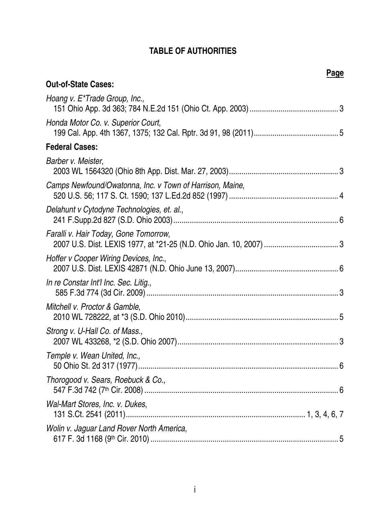# **TABLE OF AUTHORITIES**

<span id="page-3-0"></span>

| Page                                                     |
|----------------------------------------------------------|
| <b>Out-of-State Cases:</b>                               |
| Hoang v. E*Trade Group, Inc.,                            |
| Honda Motor Co. v. Superior Court,                       |
| <b>Federal Cases:</b>                                    |
| Barber v. Meister,                                       |
| Camps Newfound/Owatonna, Inc. v Town of Harrison, Maine, |
| Delahunt v Cytodyne Technologies, et. al.,               |
| Faralli v. Hair Today, Gone Tomorrow,                    |
| Hoffer v Cooper Wiring Devices, Inc.,                    |
| In re Constar Int'l Inc. Sec. Litig.,                    |
| Mitchell v. Proctor & Gamble,                            |
| Strong v. U-Hall Co. of Mass.,                           |
| Temple v. Wean United, Inc.,                             |
| Thorogood v. Sears, Roebuck & Co.,                       |
| Wal-Mart Stores, Inc. v. Dukes,                          |
| Wolin v. Jaguar Land Rover North America,                |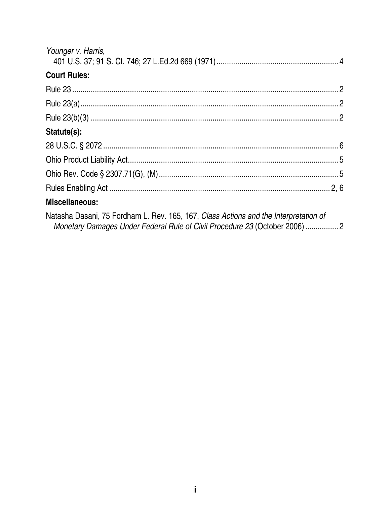| Younger v. Harris,                                                                                                                                                  |  |
|---------------------------------------------------------------------------------------------------------------------------------------------------------------------|--|
|                                                                                                                                                                     |  |
| <b>Court Rules:</b>                                                                                                                                                 |  |
|                                                                                                                                                                     |  |
|                                                                                                                                                                     |  |
|                                                                                                                                                                     |  |
| Statute(s):                                                                                                                                                         |  |
|                                                                                                                                                                     |  |
|                                                                                                                                                                     |  |
|                                                                                                                                                                     |  |
|                                                                                                                                                                     |  |
| <b>Miscellaneous:</b>                                                                                                                                               |  |
| Natasha Dasani, 75 Fordham L. Rev. 165, 167, Class Actions and the Interpretation of<br>Monetary Damages Under Federal Rule of Civil Procedure 23 (October 2006)  2 |  |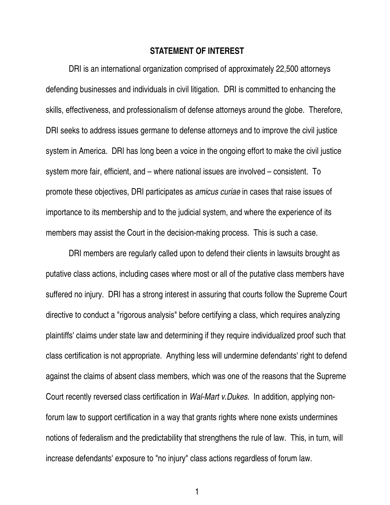#### **STATEMENT OF INTEREST**

<span id="page-5-0"></span> DRI is an international organization comprised of approximately 22,500 attorneys defending businesses and individuals in civil litigation. DRI is committed to enhancing the skills, effectiveness, and professionalism of defense attorneys around the globe. Therefore, DRI seeks to address issues germane to defense attorneys and to improve the civil justice system in America. DRI has long been a voice in the ongoing effort to make the civil justice system more fair, efficient, and – where national issues are involved – consistent. To promote these objectives, DRI participates as amicus curiae in cases that raise issues of importance to its membership and to the judicial system, and where the experience of its members may assist the Court in the decision-making process. This is such a case.

 DRI members are regularly called upon to defend their clients in lawsuits brought as putative class actions, including cases where most or all of the putative class members have suffered no injury. DRI has a strong interest in assuring that courts follow the Supreme Court directive to conduct a "rigorous analysis" before certifying a class, which requires analyzing plaintiffs' claims under state law and determining if they require individualized proof such that class certification is not appropriate. Anything less will undermine defendants' right to defend against the claims of absent class members, which was one of the reasons that the Supreme Court recently reversed class certification in Wal-Mart v.Dukes. In addition, applying nonforum law to support certification in a way that grants rights where none exists undermines notions of federalism and the predictability that strengthens the rule of law. This, in turn, will increase defendants' exposure to "no injury" class actions regardless of forum law.

1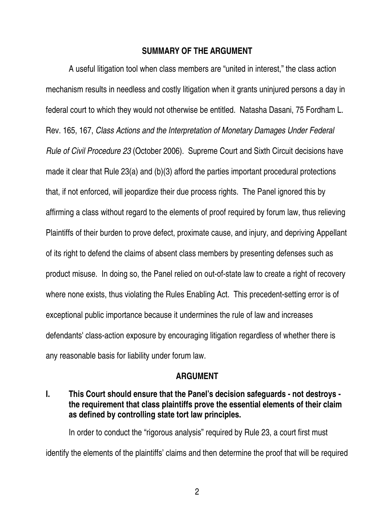#### **SUMMARY OF THE ARGUMENT**

<span id="page-6-0"></span> A useful litigation tool when class members are "united in interest," the class action mechanism results in needless and costly litigation when it grants uninjured persons a day in federal court to which they would not otherwise be entitled. Natasha Dasani, 75 Fordham L. Rev. 165, 167, Class Actions and the Interpretation of Monetary Damages Under Federal Rule of Civil Procedure 23 (October 2006). Supreme Court and Sixth Circuit decisions have made it clear that Rule 23(a) and (b)(3) afford the parties important procedural protections that, if not enforced, will jeopardize their due process rights. The Panel ignored this by affirming a class without regard to the elements of proof required by forum law, thus relieving Plaintiffs of their burden to prove defect, proximate cause, and injury, and depriving Appellant of its right to defend the claims of absent class members by presenting defenses such as product misuse. In doing so, the Panel relied on out-of-state law to create a right of recovery where none exists, thus violating the Rules Enabling Act. This precedent-setting error is of exceptional public importance because it undermines the rule of law and increases defendants' class-action exposure by encouraging litigation regardless of whether there is any reasonable basis for liability under forum law.

## **ARGUMENT**

## **I. This Court should ensure that the Panel's decision safeguards - not destroys the requirement that class plaintiffs prove the essential elements of their claim as defined by controlling state tort law principles.**

In order to conduct the "rigorous analysis" required by Rule 23, a court first must identify the elements of the plaintiffs' claims and then determine the proof that will be required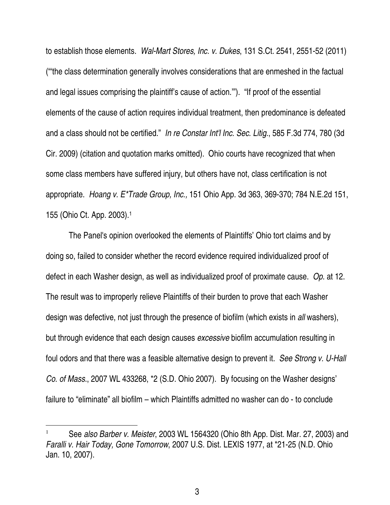to establish those elements. Wal-Mart Stores, Inc. v. Dukes, 131 S.Ct. 2541, 2551-52 (2011) ("'the class determination generally involves considerations that are enmeshed in the factual and legal issues comprising the plaintiff's cause of action.'"). "If proof of the essential elements of the cause of action requires individual treatment, then predominance is defeated and a class should not be certified." In re Constar Int'l Inc. Sec. Litig., 585 F.3d 774, 780 (3d Cir. 2009) (citation and quotation marks omitted). Ohio courts have recognized that when some class members have suffered injury, but others have not, class certification is not appropriate. Hoang v. E\*Trade Group, Inc., 151 Ohio App. 3d 363, 369-370; 784 N.E.2d 151, 155 (Ohio Ct. App. 2003).<sup>1</sup>

The Panel's opinion overlooked the elements of Plaintiffs' Ohio tort claims and by doing so, failed to consider whether the record evidence required individualized proof of defect in each Washer design, as well as individualized proof of proximate cause. Op. at 12. The result was to improperly relieve Plaintiffs of their burden to prove that each Washer design was defective, not just through the presence of biofilm (which exists in all washers), but through evidence that each design causes excessive biofilm accumulation resulting in foul odors and that there was a feasible alternative design to prevent it. See Strong v. U-Hall Co. of Mass., 2007 WL 433268, \*2 (S.D. Ohio 2007). By focusing on the Washer designs' failure to "eliminate" all biofilm – which Plaintiffs admitted no washer can do - to conclude

 $\overline{a}$ 

<sup>1</sup> See also Barber v. Meister, 2003 WL 1564320 (Ohio 8th App. Dist. Mar. 27, 2003) and Faralli v. Hair Today, Gone Tomorrow, 2007 U.S. Dist. LEXIS 1977, at \*21-25 (N.D. Ohio Jan. 10, 2007).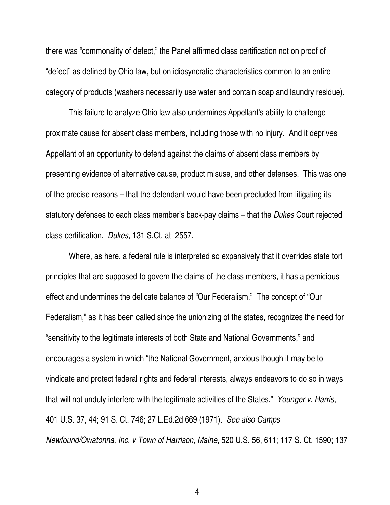there was "commonality of defect," the Panel affirmed class certification not on proof of "defect" as defined by Ohio law, but on idiosyncratic characteristics common to an entire category of products (washers necessarily use water and contain soap and laundry residue).

This failure to analyze Ohio law also undermines Appellant's ability to challenge proximate cause for absent class members, including those with no injury. And it deprives Appellant of an opportunity to defend against the claims of absent class members by presenting evidence of alternative cause, product misuse, and other defenses. This was one of the precise reasons – that the defendant would have been precluded from litigating its statutory defenses to each class member's back-pay claims – that the Dukes Court rejected class certification. Dukes, 131 S.Ct. at 2557.

 Where, as here, a federal rule is interpreted so expansively that it overrides state tort principles that are supposed to govern the claims of the class members, it has a pernicious effect and undermines the delicate balance of "Our Federalism." The concept of "Our Federalism," as it has been called since the unionizing of the states, recognizes the need for "sensitivity to the legitimate interests of both State and National Governments," and encourages a system in which "the National Government, anxious though it may be to vindicate and protect federal rights and federal interests, always endeavors to do so in ways that will not unduly interfere with the legitimate activities of the States." Younger v. Harris, 401 U.S. 37, 44; 91 S. Ct. 746; 27 L.Ed.2d 669 (1971). See also Camps Newfound/Owatonna, Inc. v Town of Harrison, Maine, 520 U.S. 56, 611; 117 S. Ct. 1590; 137

4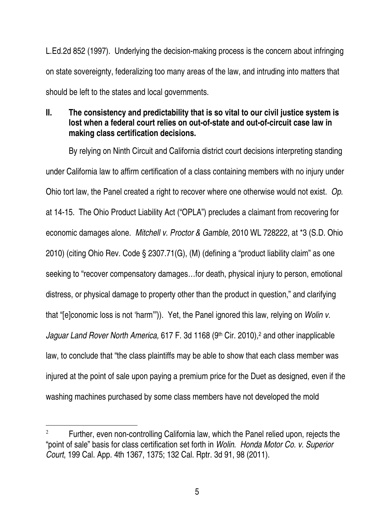<span id="page-9-0"></span>L.Ed.2d 852 (1997). Underlying the decision-making process is the concern about infringing on state sovereignty, federalizing too many areas of the law, and intruding into matters that should be left to the states and local governments.

## **II. The consistency and predictability that is so vital to our civil justice system is lost when a federal court relies on out-of-state and out-of-circuit case law in making class certification decisions.**

By relying on Ninth Circuit and California district court decisions interpreting standing under California law to affirm certification of a class containing members with no injury under Ohio tort law, the Panel created a right to recover where one otherwise would not exist. Op. at 14-15. The Ohio Product Liability Act ("OPLA") precludes a claimant from recovering for economic damages alone. Mitchell v. Proctor & Gamble, 2010 WL 728222, at \*3 (S.D. Ohio 2010) (citing Ohio Rev. Code § 2307.71(G), (M) (defining a "product liability claim" as one seeking to "recover compensatory damages…for death, physical injury to person, emotional distress, or physical damage to property other than the product in question," and clarifying that "[e]conomic loss is not 'harm'")). Yet, the Panel ignored this law, relying on Wolin v. Jaguar Land Rover North America, 617 F. 3d 1168 (9<sup>th</sup> Cir. 2010),<sup>2</sup> and other inapplicable law, to conclude that "the class plaintiffs may be able to show that each class member was injured at the point of sale upon paying a premium price for the Duet as designed, even if the washing machines purchased by some class members have not developed the mold

 $\overline{a}$ 

<sup>2</sup> Further, even non-controlling California law, which the Panel relied upon, rejects the "point of sale" basis for class certification set forth in Wolin. Honda Motor Co. v. Superior Court, 199 Cal. App. 4th 1367, 1375; 132 Cal. Rptr. 3d 91, 98 (2011).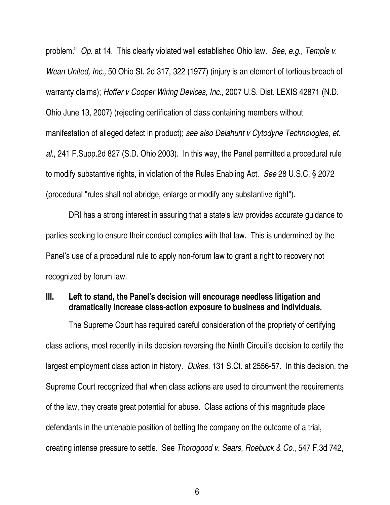<span id="page-10-0"></span>problem." Op. at 14. This clearly violated well established Ohio law. See, e.g., Temple v. Wean United, Inc., 50 Ohio St. 2d 317, 322 (1977) (injury is an element of tortious breach of warranty claims); Hoffer v Cooper Wiring Devices, Inc., 2007 U.S. Dist. LEXIS 42871 (N.D. Ohio June 13, 2007) (rejecting certification of class containing members without manifestation of alleged defect in product); see also Delahunt v Cytodyne Technologies, et. al., 241 F.Supp.2d 827 (S.D. Ohio 2003). In this way, the Panel permitted a procedural rule to modify substantive rights, in violation of the Rules Enabling Act. See 28 U.S.C. § 2072 (procedural "rules shall not abridge, enlarge or modify any substantive right").

DRI has a strong interest in assuring that a state's law provides accurate guidance to parties seeking to ensure their conduct complies with that law. This is undermined by the Panel's use of a procedural rule to apply non-forum law to grant a right to recovery not recognized by forum law.

## **III. Left to stand, the Panel's decision will encourage needless litigation and dramatically increase class-action exposure to business and individuals.**

The Supreme Court has required careful consideration of the propriety of certifying class actions, most recently in its decision reversing the Ninth Circuit's decision to certify the largest employment class action in history. Dukes, 131 S.Ct. at 2556-57. In this decision, the Supreme Court recognized that when class actions are used to circumvent the requirements of the law, they create great potential for abuse. Class actions of this magnitude place defendants in the untenable position of betting the company on the outcome of a trial, creating intense pressure to settle. See Thorogood v. Sears, Roebuck & Co., 547 F.3d 742,

6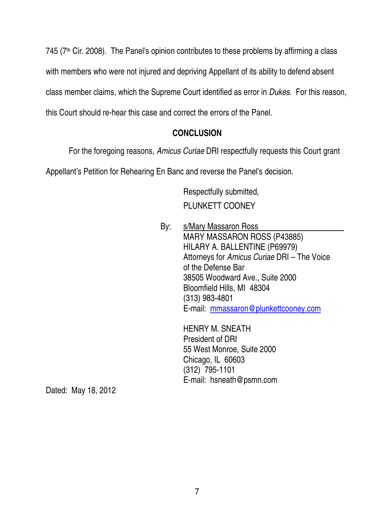<span id="page-11-0"></span> $745$  ( $7<sup>th</sup>$  Cir. 2008). The Panel's opinion contributes to these problems by affirming a class with members who were not injured and depriving Appellant of its ability to defend absent class member claims, which the Supreme Court identified as error in Dukes. For this reason, this Court should re-hear this case and correct the errors of the Panel.

## **CONCLUSION**

For the foregoing reasons, Amicus Curiae DRI respectfully requests this Court grant

Appellant's Petition for Rehearing En Banc and reverse the Panel's decision.

 Respectfully submitted, PLUNKETT COONEY

 By: s/Mary Massaron Ross MARY MASSARON ROSS (P43885) HILARY A. BALLENTINE (P69979) Attorneys for Amicus Curiae DRI – The Voice of the Defense Bar 38505 Woodward Ave., Suite 2000 Bloomfield Hills, MI 48304 (313) 983-4801 E-mail: [mmassaron@plunkettcooney.com](mailto:mmassaron@plunkettcooney.com)

> HENRY M. SNEATH President of DRI 55 West Monroe, Suite 2000 Chicago, IL 60603 (312) 795-1101 E-mail: hsneath@psmn.com

Dated: May 18, 2012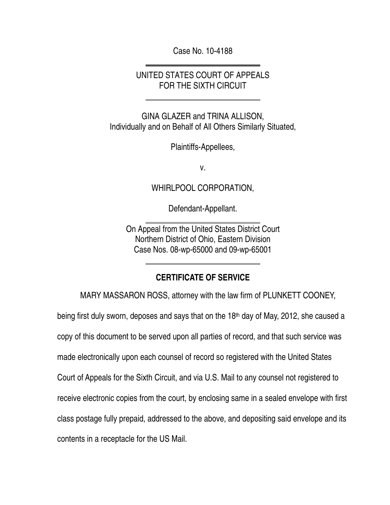Case No. 10-4188

l

 $\overline{a}$ 

 $\overline{a}$ 

l

## UNITED STATES COURT OF APPEALS FOR THE SIXTH CIRCUIT

GINA GLAZER and TRINA ALLISON, Individually and on Behalf of All Others Similarly Situated,

Plaintiffs-Appellees,

v.

WHIRLPOOL CORPORATION,

Defendant-Appellant.

On Appeal from the United States District Court Northern District of Ohio, Eastern Division Case Nos. 08-wp-65000 and 09-wp-65001

## **CERTIFICATE OF SERVICE**

MARY MASSARON ROSS, attorney with the law firm of PLUNKETT COONEY,

being first duly sworn, deposes and says that on the 18<sup>th</sup> day of May, 2012, she caused a copy of this document to be served upon all parties of record, and that such service was made electronically upon each counsel of record so registered with the United States Court of Appeals for the Sixth Circuit, and via U.S. Mail to any counsel not registered to receive electronic copies from the court, by enclosing same in a sealed envelope with first class postage fully prepaid, addressed to the above, and depositing said envelope and its contents in a receptacle for the US Mail.